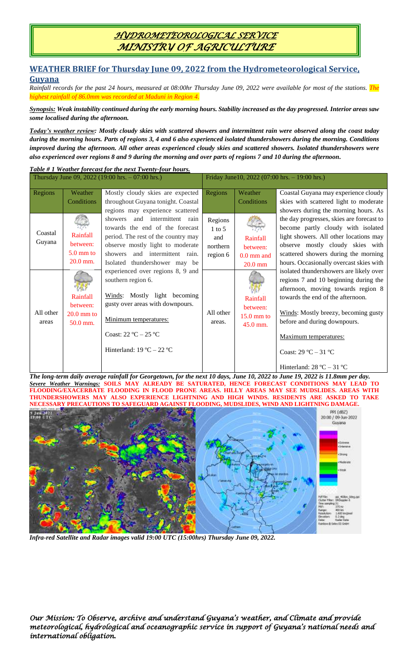## *HYDROMETEOROLOGICAL SERVICE MINISTRY OF AGRICULTURE*

# **WEATHER BRIEF for Thursday June 09, 2022 from the Hydrometeorological Service,**

#### **Guyana**

*Rainfall records for the past 24 hours, measured at 08:00hr Thursday June 09, 2022 were available for most of the stations. The highest rainfall of 86.0mm was recorded at Maduni in Region 4.*

*Synopsis: Weak instability continued during the early morning hours. Stability increased as the day progressed. Interior areas saw some localised during the afternoon.*

*Today's weather review: Mostly cloudy skies with scattered showers and intermittent rain were observed along the coast today during the morning hours. Parts of regions 3, 4 and 6 also experienced isolated thundershowers during the morning. Conditions improved during the afternoon. All other areas experienced cloudy skies and scattered showers. Isolated thundershowers were also experienced over regions 8 and 9 during the morning and over parts of regions 7 and 10 during the afternoon.*

*Table # 1 Weather forecast for the next Twenty-four hours.*

| Thursday June 09, 2022 (19:00 hrs. $-07:00$ hrs.) |                                                         |                                                                                        | Friday June 10, 2022 (07:00 hrs. $-19:00$ hrs.) |                      |                                           |
|---------------------------------------------------|---------------------------------------------------------|----------------------------------------------------------------------------------------|-------------------------------------------------|----------------------|-------------------------------------------|
|                                                   |                                                         |                                                                                        |                                                 |                      |                                           |
| Regions                                           | Weather                                                 | Mostly cloudy skies are expected                                                       | Regions                                         | Weather              | Coastal Guyana may experience cloudy      |
|                                                   | Conditions                                              | throughout Guyana tonight. Coastal                                                     |                                                 | Conditions           | skies with scattered light to moderate    |
|                                                   |                                                         | regions may experience scattered                                                       |                                                 |                      | showers during the morning hours. As      |
| Coastal<br>Guyana                                 |                                                         | and intermittent rain<br>showers                                                       | Regions                                         |                      | the day progresses, skies are forecast to |
|                                                   | Rainfall<br>between:<br>5.0 mm to<br>$20.0$ mm.         | towards the end of the forecast                                                        | $1$ to 5                                        |                      | become partly cloudy with isolated        |
|                                                   |                                                         | period. The rest of the country may                                                    | and                                             | Rainfall             | light showers. All other locations may    |
|                                                   |                                                         | observe mostly light to moderate                                                       | northern                                        | between:             | observe mostly cloudy skies with          |
|                                                   |                                                         | and intermittent rain.<br>showers                                                      | region 6                                        | $0.0$ mm and         | scattered showers during the morning      |
|                                                   |                                                         | Isolated thundershower may be                                                          |                                                 | $20.0$ mm            | hours. Occasionally overcast skies with   |
| All other<br>areas                                | <b>Rainfall</b><br>between:<br>$20.0$ mm to<br>50.0 mm. | experienced over regions 8, 9 and                                                      | All other<br>areas.                             |                      | isolated thundershowers are likely over   |
|                                                   |                                                         | southern region 6.<br>Winds: Mostly light becoming<br>gusty over areas with downpours. |                                                 |                      | regions 7 and 10 beginning during the     |
|                                                   |                                                         |                                                                                        |                                                 |                      | afternoon, moving towards region 8        |
|                                                   |                                                         |                                                                                        |                                                 | Rainfall             | towards the end of the afternoon.         |
|                                                   |                                                         |                                                                                        |                                                 | between:             |                                           |
|                                                   |                                                         | Minimum temperatures:<br>Coast: $22 °C - 25 °C$                                        |                                                 | $15.0 \text{ mm}$ to | Winds: Mostly breezy, becoming gusty      |
|                                                   |                                                         |                                                                                        |                                                 | 45.0 mm.             | before and during downpours.              |
|                                                   |                                                         |                                                                                        |                                                 |                      | Maximum temperatures:                     |
|                                                   |                                                         |                                                                                        |                                                 |                      |                                           |
|                                                   |                                                         | Hinterland: $19^{\circ}$ C – $22^{\circ}$ C                                            |                                                 |                      | Coast: $29 °C - 31 °C$                    |
|                                                   |                                                         |                                                                                        |                                                 |                      |                                           |
|                                                   |                                                         |                                                                                        |                                                 |                      | Hinterland: $28 °C - 31 °C$               |

*The long-term daily average rainfall for Georgetown, for the next 10 days, June 10, 2022 to June 19, 2022 is 11.8mm per day. Severe Weather Warnings:* **SOILS MAY ALREADY BE SATURATED, HENCE FORECAST CONDITIONS MAY LEAD TO FLOODING/EXACERBATE FLOODING IN FLOOD PRONE AREAS. HILLY AREAS MAY SEE MUDSLIDES. AREAS WITH THUNDERSHOWERS MAY ALSO EXPERIENCE LIGHTNING AND HIGH WINDS. RESIDENTS ARE ASKED TO TAKE NECESSARY PRECAUTIONS TO SAFEGUARD AGAINST FLOODING, MUDSLIDES, WIND AND LIGHTNING DAMAGE.**



*Infra-red Satellite and Radar images valid 19:00 UTC (15:00hrs) Thursday June 09, 2022.*

*Our Mission: To Observe, archive and understand Guyana's weather, and Climate and provide meteorological, hydrological and oceanographic service in support of Guyana's national needs and international obligation.*